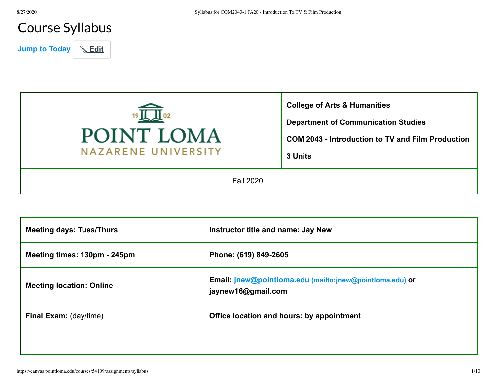# Course Syllabus

**Jump to Today** | **& Edit** 



| <b>Meeting days: Tues/Thurs</b> | Instructor title and name: Jay New                                             |
|---------------------------------|--------------------------------------------------------------------------------|
| Meeting times: 130pm - 245pm    | Phone: (619) 849-2605                                                          |
| <b>Meeting location: Online</b> | Email: jnew@pointloma.edu (mailto:jnew@pointloma.edu) or<br>jaynew16@gmail.com |
| <b>Final Exam:</b> (day/time)   | Office location and hours: by appointment                                      |
|                                 |                                                                                |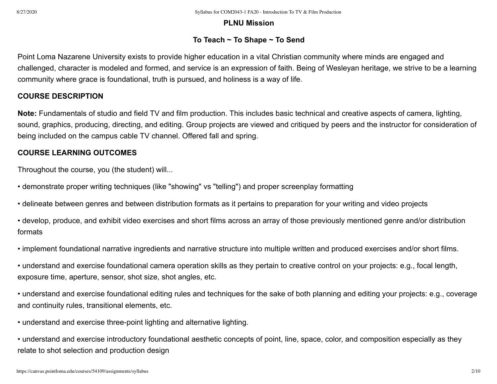### **PLNU Mission**

# **To Teach ~ To Shape ~ To Send**

Point Loma Nazarene University exists to provide higher education in a vital Christian community where minds are engaged and challenged, character is modeled and formed, and service is an expression of faith. Being of Wesleyan heritage, we strive to be a learning community where grace is foundational, truth is pursued, and holiness is a way of life.

# **COURSE DESCRIPTION**

**Note:** Fundamentals of studio and field TV and film production. This includes basic technical and creative aspects of camera, lighting, sound, graphics, producing, directing, and editing. Group projects are viewed and critiqued by peers and the instructor for consideration of being included on the campus cable TV channel. Offered fall and spring.

# **COURSE LEARNING OUTCOMES**

Throughout the course, you (the student) will...

- demonstrate proper writing techniques (like "showing" vs "telling") and proper screenplay formatting
- delineate between genres and between distribution formats as it pertains to preparation for your writing and video projects
- develop, produce, and exhibit video exercises and short films across an array of those previously mentioned genre and/or distribution formats
- implement foundational narrative ingredients and narrative structure into multiple written and produced exercises and/or short films.
- understand and exercise foundational camera operation skills as they pertain to creative control on your projects: e.g., focal length, exposure time, aperture, sensor, shot size, shot angles, etc.
- understand and exercise foundational editing rules and techniques for the sake of both planning and editing your projects: e.g., coverage and continuity rules, transitional elements, etc.
- understand and exercise three-point lighting and alternative lighting.
- understand and exercise introductory foundational aesthetic concepts of point, line, space, color, and composition especially as they relate to shot selection and production design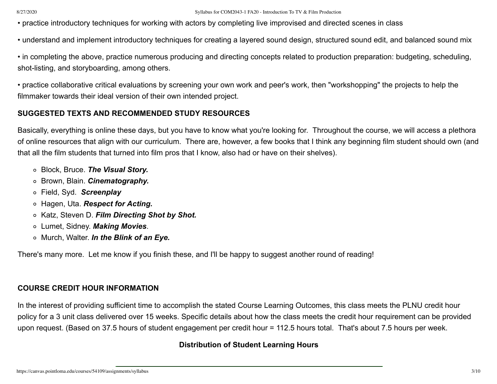#### 8/27/2020 Syllabus for COM2043-1 FA20 - Introduction To TV & Film Production

• practice introductory techniques for working with actors by completing live improvised and directed scenes in class

• understand and implement introductory techniques for creating a layered sound design, structured sound edit, and balanced sound mix

• in completing the above, practice numerous producing and directing concepts related to production preparation: budgeting, scheduling, shot-listing, and storyboarding, among others.

• practice collaborative critical evaluations by screening your own work and peer's work, then "workshopping" the projects to help the filmmaker towards their ideal version of their own intended project.

### **SUGGESTED TEXTS AND RECOMMENDED STUDY RESOURCES**

Basically, everything is online these days, but you have to know what you're looking for. Throughout the course, we will access a plethora of online resources that align with our curriculum. There are, however, a few books that I think any beginning film student should own (and that all the film students that turned into film pros that I know, also had or have on their shelves).

- Block, Bruce. *The Visual Story.*
- Brown, Blain. *Cinematography.*
- Field, Syd. *Screenplay*
- Hagen, Uta. *Respect for Acting.*
- Katz, Steven D. *Film Directing Shot by Shot.*
- Lumet, Sidney. *Making Movies*.
- Murch, Walter. *In the Blink of an Eye.*

There's many more. Let me know if you finish these, and I'll be happy to suggest another round of reading!

#### **COURSE CREDIT HOUR INFORMATION**

In the interest of providing sufficient time to accomplish the stated Course Learning Outcomes, this class meets the PLNU credit hour policy for a 3 unit class delivered over 15 weeks. Specific details about how the class meets the credit hour requirement can be provided upon request. (Based on 37.5 hours of student engagement per credit hour = 112.5 hours total. That's about 7.5 hours per week.

### **Distribution of Student Learning Hours**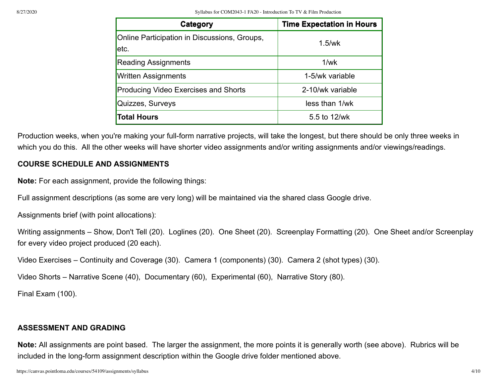| Category                                             | <b>Time Expectation in Hours</b> |
|------------------------------------------------------|----------------------------------|
| Online Participation in Discussions, Groups,<br>etc. | $1.5$ /wk                        |
| <b>Reading Assignments</b>                           | 1/wk                             |
| <b>Written Assignments</b>                           | 1-5/wk variable                  |
| <b>Producing Video Exercises and Shorts</b>          | 2-10/wk variable                 |
| Quizzes, Surveys                                     | less than 1/wk                   |
| <b>Total Hours</b>                                   | 5.5 to 12/wk                     |

Production weeks, when you're making your full-form narrative projects, will take the longest, but there should be only three weeks in which you do this. All the other weeks will have shorter video assignments and/or writing assignments and/or viewings/readings.

# **COURSE SCHEDULE AND ASSIGNMENTS**

**Note:** For each assignment, provide the following things:

Full assignment descriptions (as some are very long) will be maintained via the shared class Google drive.

Assignments brief (with point allocations):

```
Writing assignments – Show, Don't Tell (20). Loglines (20). One Sheet (20). Screenplay Formatting (20). One Sheet and/or Screenplay
for every video project produced (20 each).
```
Video Exercises – Continuity and Coverage (30). Camera 1 (components) (30). Camera 2 (shot types) (30).

Video Shorts – Narrative Scene (40), Documentary (60), Experimental (60), Narrative Story (80).

Final Exam (100).

### **ASSESSMENT AND GRADING**

**Note:** All assignments are point based. The larger the assignment, the more points it is generally worth (see above). Rubrics will be included in the long-form assignment description within the Google drive folder mentioned above.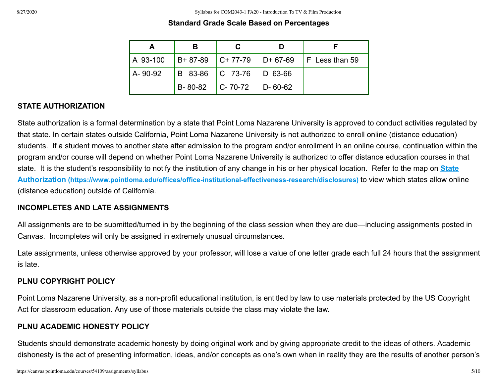#### **Standard Grade Scale Based on Percentages**

| A 93-100 |                     | $B+ 87-89$ C+ 77-79 D+ 67-69 |                       | $\mathsf F$ Less than 59 |
|----------|---------------------|------------------------------|-----------------------|--------------------------|
| A-90-92  |                     | B 83-86   C 73-76   D 63-66  |                       |                          |
|          | $B-80-82$ $C-70-72$ |                              | $\overline{D}$ -60-62 |                          |

### **STATE AUTHORIZATION**

State authorization is a formal determination by a state that Point Loma Nazarene University is approved to conduct activities regulated by that state. In certain states outside California, Point Loma Nazarene University is not authorized to enroll online (distance education) students. If a student moves to another state after admission to the program and/or enrollment in an online course, continuation within the program and/or course will depend on whether Point Loma Nazarene University is authorized to offer distance education courses in that [state. It is the student's responsibility to notify the institution of any change in his or her physical location. Refer to the map on](https://www.pointloma.edu/offices/office-institutional-effectiveness-research/disclosures) **State Authorization (https://www.pointloma.edu/offices/office-institutional-effectiveness-research/disclosures)** to view which states allow online (distance education) outside of California.

#### **INCOMPLETES AND LATE ASSIGNMENTS**

All assignments are to be submitted/turned in by the beginning of the class session when they are due—including assignments posted in Canvas. Incompletes will only be assigned in extremely unusual circumstances.

Late assignments, unless otherwise approved by your professor, will lose a value of one letter grade each full 24 hours that the assignment is late.

#### **PLNU COPYRIGHT POLICY**

Point Loma Nazarene University, as a non-profit educational institution, is entitled by law to use materials protected by the US Copyright Act for classroom education. Any use of those materials outside the class may violate the law.

### **PLNU ACADEMIC HONESTY POLICY**

Students should demonstrate academic honesty by doing original work and by giving appropriate credit to the ideas of others. Academic dishonesty is the act of presenting information, ideas, and/or concepts as one's own when in reality they are the results of another person's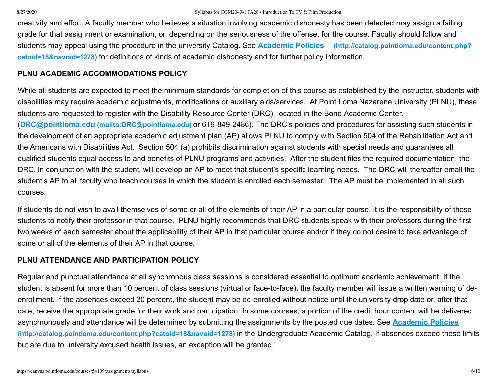creativity and effort. A faculty member who believes a situation involving academic dishonesty has been detected may assign a failing grade for that assignment or examination, or, depending on the seriousness of the offense, for the course. Faculty should follow and students may appeal using the procedure in the university Catalog. See **Academic Policies (http://catalog.pointloma.edu/content.php? catoid=18&navoid=1278)** [for definitions of kinds of academic dishonesty and for further policy information.](http://catalog.pointloma.edu/content.php?catoid=18&navoid=1278)

### **PLNU ACADEMIC ACCOMMODATIONS POLICY**

While all students are expected to meet the minimum standards for completion of this course as established by the instructor, students with disabilities may require academic adjustments, modifications or auxiliary aids/services. At Point Loma Nazarene University (PLNU), these students are requested to register with the Disability Resource Center (DRC), located in the Bond Academic Center. (**DRC@pointloma.edu [\(mailto:DRC@pointloma.edu\)](mailto:DRC@pointloma.edu)** or 619-849-2486). The DRC's policies and procedures for assisting such students in the development of an appropriate academic adjustment plan (AP) allows PLNU to comply with Section 504 of the Rehabilitation Act and the Americans with Disabilities Act. Section 504 (a) prohibits discrimination against students with special needs and guarantees all qualified students equal access to and benefits of PLNU programs and activities. After the student files the required documentation, the DRC, in conjunction with the student, will develop an AP to meet that student's specific learning needs. The DRC will thereafter email the student's AP to all faculty who teach courses in which the student is enrolled each semester. The AP must be implemented in all such courses.

If students do not wish to avail themselves of some or all of the elements of their AP in a particular course, it is the responsibility of those students to notify their professor in that course. PLNU highly recommends that DRC students speak with their professors during the first two weeks of each semester about the applicability of their AP in that particular course and/or if they do not desire to take advantage of some or all of the elements of their AP in that course.

# **PLNU ATTENDANCE AND PARTICIPATION POLICY**

Regular and punctual attendance at all synchronous class sessions is considered essential to optimum academic achievement. If the student is absent for more than 10 percent of class sessions (virtual or face-to-face), the faculty member will issue a written warning of deenrollment. If the absences exceed 20 percent, the student may be de-enrolled without notice until the university drop date or, after that date, receive the appropriate grade for their work and participation. In some courses, a portion of the credit hour content will be delivered [asynchronously and attendance will be determined by submitting the assignments by the posted due dates. See](http://catalog.pointloma.edu/content.php?catoid=18&navoid=1278) **Academic Policies (http://catalog.pointloma.edu/content.php?catoid=18&navoid=1278)** in the Undergraduate Academic Catalog. If absences exceed these limits but are due to university excused health issues, an exception will be granted.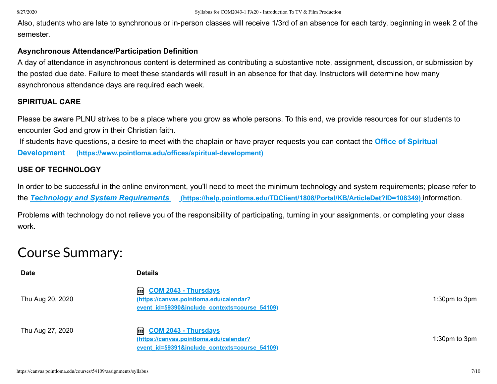Also, students who are late to synchronous or in-person classes will receive 1/3rd of an absence for each tardy, beginning in week 2 of the semester.

#### **Asynchronous Attendance/Participation Definition**

A day of attendance in asynchronous content is determined as contributing a substantive note, assignment, discussion, or submission by the posted due date. Failure to meet these standards will result in an absence for that day. Instructors will determine how many asynchronous attendance days are required each week.

### **SPIRITUAL CARE**

Please be aware PLNU strives to be a place where you grow as whole persons. To this end, we provide resources for our students to encounter God and grow in their Christian faith.

 [If students have questions, a desire to meet with the chaplain or have prayer requests you can contact the](https://www.pointloma.edu/offices/spiritual-development) **Office of Spiritual Development (https://www.pointloma.edu/offices/spiritual-development)**

# **USE OF TECHNOLOGY**

In order to be successful in the online environment, you'll need to meet the minimum technology and system requirements; please refer to the *Technology and System Requirements* **[\(https://help.pointloma.edu/TDClient/1808/Portal/KB/ArticleDet?ID=108349\)](https://help.pointloma.edu/TDClient/1808/Portal/KB/ArticleDet?ID=108349)** information.

Problems with technology do not relieve you of the responsibility of participating, turning in your assignments, or completing your class work.

# Course Summary:

| <b>Date</b>      | <b>Details</b>                                                                                                                       |                   |
|------------------|--------------------------------------------------------------------------------------------------------------------------------------|-------------------|
| Thu Aug 20, 2020 | <b>added</b> <u>COM 2043 - Thursdays</u><br>(https://canvas.pointloma.edu/calendar?<br>event id=59390&include contexts=course 54109) | 1:30pm to 3pm     |
| Thu Aug 27, 2020 | <b>added</b> <u>COM 2043 - Thursdays</u><br>(https://canvas.pointloma.edu/calendar?<br>event id=59391&include contexts=course 54109) | $1:30pm$ to $3pm$ |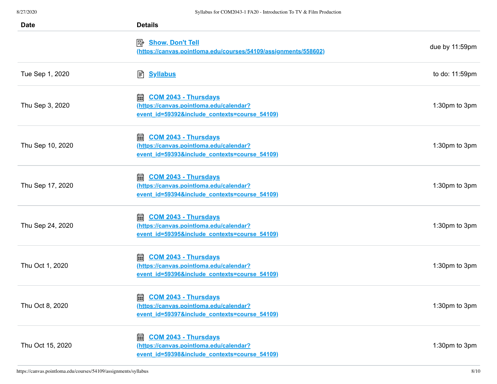| <b>Date</b>      | <b>Details</b>                                                                                                               |                |
|------------------|------------------------------------------------------------------------------------------------------------------------------|----------------|
|                  | <b>Show, Don't Tell</b><br>國<br>(https://canvas.pointloma.edu/courses/54109/assignments/558602)                              | due by 11:59pm |
| Tue Sep 1, 2020  | <b>A</b> Syllabus                                                                                                            | to do: 11:59pm |
| Thu Sep 3, 2020  | 翩<br><b>COM 2043 - Thursdays</b><br>(https://canvas.pointloma.edu/calendar?<br>event id=59392&include contexts=course 54109) | 1:30pm to 3pm  |
| Thu Sep 10, 2020 | 圇<br><b>COM 2043 - Thursdays</b><br>(https://canvas.pointloma.edu/calendar?<br>event id=59393&include contexts=course 54109) | 1:30pm to 3pm  |
| Thu Sep 17, 2020 | <b>COM 2043 - Thursdays</b><br>翩<br>(https://canvas.pointloma.edu/calendar?<br>event id=59394&include contexts=course 54109) | 1:30pm to 3pm  |
| Thu Sep 24, 2020 | 圇<br><b>COM 2043 - Thursdays</b><br>(https://canvas.pointloma.edu/calendar?<br>event id=59395&include contexts=course 54109) | 1:30pm to 3pm  |
| Thu Oct 1, 2020  | 翩<br><b>COM 2043 - Thursdays</b><br>(https://canvas.pointloma.edu/calendar?<br>event id=59396&include contexts=course 54109) | 1:30pm to 3pm  |
| Thu Oct 8, 2020  | 翩<br><b>COM 2043 - Thursdays</b><br>(https://canvas.pointloma.edu/calendar?<br>event id=59397&include contexts=course 54109) | 1:30pm to 3pm  |
| Thu Oct 15, 2020 | <b>COM 2043 - Thursdays</b><br>翩<br>(https://canvas.pointloma.edu/calendar?<br>event id=59398&include contexts=course 54109) | 1:30pm to 3pm  |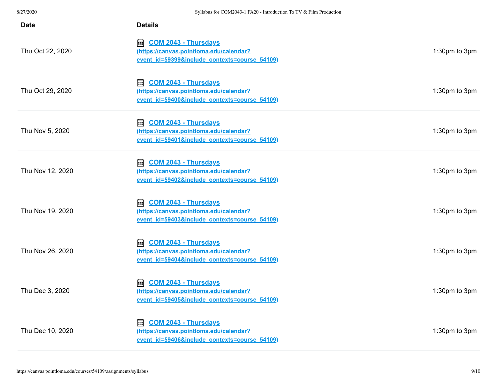| <b>Date</b>      | <b>Details</b>                                                                                                               |               |
|------------------|------------------------------------------------------------------------------------------------------------------------------|---------------|
| Thu Oct 22, 2020 | <b>COM 2043 - Thursdays</b><br>翩<br>(https://canvas.pointloma.edu/calendar?<br>event id=59399&include contexts=course 54109) | 1:30pm to 3pm |
| Thu Oct 29, 2020 | <b>COM 2043 - Thursdays</b><br>翩<br>(https://canvas.pointloma.edu/calendar?<br>event id=59400&include contexts=course 54109) | 1:30pm to 3pm |
| Thu Nov 5, 2020  | 翩<br><b>COM 2043 - Thursdays</b><br>(https://canvas.pointloma.edu/calendar?<br>event id=59401&include contexts=course 54109) | 1:30pm to 3pm |
| Thu Nov 12, 2020 | <b>COM 2043 - Thursdays</b><br>翩<br>(https://canvas.pointloma.edu/calendar?<br>event id=59402&include contexts=course 54109) | 1:30pm to 3pm |
| Thu Nov 19, 2020 | <b>COM 2043 - Thursdays</b><br>翩<br>(https://canvas.pointloma.edu/calendar?<br>event id=59403&include contexts=course 54109) | 1:30pm to 3pm |
| Thu Nov 26, 2020 | <b>COM 2043 - Thursdays</b><br>翩<br>(https://canvas.pointloma.edu/calendar?<br>event id=59404&include contexts=course 54109) | 1:30pm to 3pm |
| Thu Dec 3, 2020  | <b>COM 2043 - Thursdays</b><br>翩<br>(https://canvas.pointloma.edu/calendar?<br>event id=59405&include contexts=course 54109) | 1:30pm to 3pm |
| Thu Dec 10, 2020 | <b>COM 2043 - Thursdays</b><br>圇<br>(https://canvas.pointloma.edu/calendar?<br>event_id=59406&include_contexts=course_54109) | 1:30pm to 3pm |